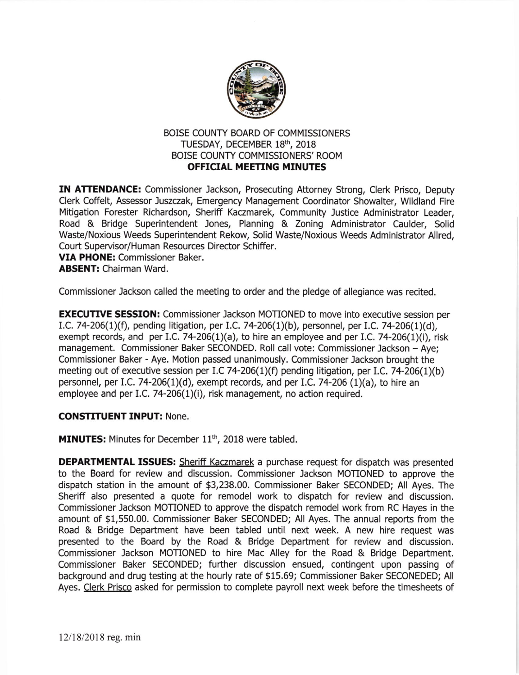

## BOISE COUNTY BOARD OF COMMISSIONERS TUESDAY, DECEMBER 18th, 2018 BOISE COUNTY COMMISSIONERS' ROOM OFFICIAL MEETING MINUTES

IN ATTENDANCE: Commissioner Jackson, Prosecuting Attorney Strong, Clerk Prisco, Deputy Clerk Coffelt, Assessor Juszczak, Emergency Management Coordinator Showalter, Wildland Fire Mitigation Forester Richardson, Sheriff Kaczmarek, Community Justice Administrator Leader, Road & Bridge Superintendent Jones, Planning & Zoning Administrator Caulder, Solid Waste/Noxious Weeds Superintendent Rekow, Solid Waste/Noxious Weeds Administrator Allred, Court Supervisor/Human Resources Director Schiffer.

VIA PHONE: Commissioner Baker. ABSENT: Chairman Ward.

Commlssioner Jackson called the meeting to order and the pledge of allegiance was recited.

**EXECUTIVE SESSION:** Commissioner Jackson MOTIONED to move into executive session per I.C. 74-206(1)(f), pending litigation, pet I.C.74-206(1)(b), personnel, per LC. 74-206(1)(d), exempt records, and per I.C. 74-206(1)(a), to hire an employee and per I.C. 74-206(1)(i), risk management. Commissioner Baker SECONDED. Roll call vote: Commissioner Jackson - Aye; Commissioner Baker - Aye. Motion passed unanimously. Commissioner Jackson brought the meeting out of executive session per I.C 74-206(1)(f) pending litigation, per I.C. 74-206(1)(b) personnel, per LC.74-206(1)(d), exempt records, and per I,C.74-206 (1)(a), to hire an employee and per I.C. 74-206(1)(i), risk management, no action required.

## CONSTITUENT INPUT: None.

MINUTES: Minutes for December 11<sup>th</sup>, 2018 were tabled.

DEPARTMENTAL ISSUES: Sheriff Kaczmarek a purchase request for dispatch was presented to the Board for review and discussion. Commissioner lackson MOTIONED to approve the dispatch station in the amount of \$3,238.00. Commissioner Baker SECONDED; All Ayes. The Sheriff also presented a quote for remodel work to dispatch for review and discussion. Commissioner Jackson MOTIONED to approve the dispatch remodel work from RC Hayes in the amount of \$1,550.00. Commissioner Baker SECONDED; All Ayes. The annual reports from the Road & Bridge Department have been tabled until next week. A new hire request was presented to the Board by the Road & Bridge Depaftment for review and discussion. Commissioner Jackson MOTIONED to hire Mac Alley for the Road & Bridge Depaftment. Commissioner Baker SECONDED; further discussion ensued, contingent upon passing of background and drug testing at the hourly rate of \$15.69; Commissioner Baker SECONEDED; All Ayes. Clerk Prisco asked for permission to complete payroll next week before the timesheets of